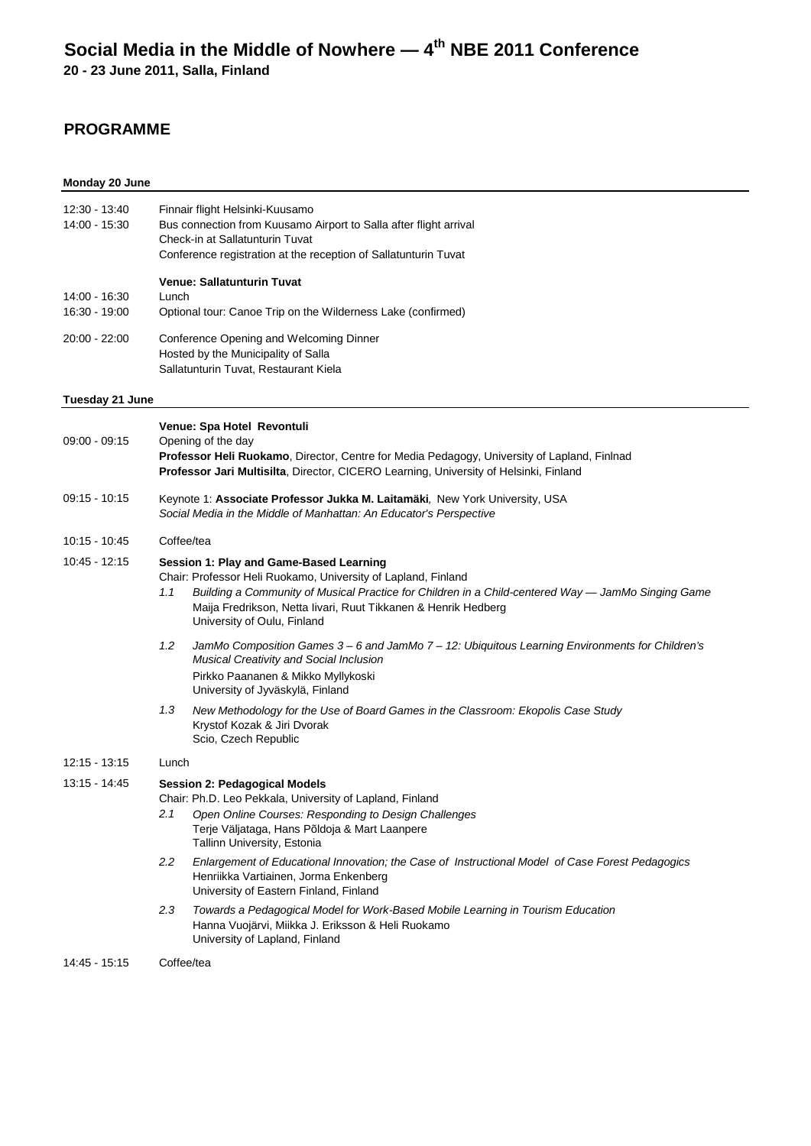**20 - 23 June 2011, Salla, Finland**

## **PROGRAMME**

## **Monday 20 June**

| 12:30 - 13:40<br>14:00 - 15:30 | Finnair flight Helsinki-Kuusamo<br>Bus connection from Kuusamo Airport to Salla after flight arrival<br>Check-in at Sallatunturin Tuvat<br>Conference registration at the reception of Sallatunturin Tuvat                                                                                                             |  |
|--------------------------------|------------------------------------------------------------------------------------------------------------------------------------------------------------------------------------------------------------------------------------------------------------------------------------------------------------------------|--|
|                                | <b>Venue: Sallatunturin Tuvat</b><br>Lunch                                                                                                                                                                                                                                                                             |  |
| 14:00 - 16:30<br>16:30 - 19:00 | Optional tour: Canoe Trip on the Wilderness Lake (confirmed)                                                                                                                                                                                                                                                           |  |
| 20:00 - 22:00                  | Conference Opening and Welcoming Dinner<br>Hosted by the Municipality of Salla<br>Sallatunturin Tuvat, Restaurant Kiela                                                                                                                                                                                                |  |
| Tuesday 21 June                |                                                                                                                                                                                                                                                                                                                        |  |
|                                | Venue: Spa Hotel Revontuli                                                                                                                                                                                                                                                                                             |  |
| 09:00 - 09:15                  | Opening of the day<br><b>Professor Heli Ruokamo, Director, Centre for Media Pedagogy, University of Lapland, Finlnad</b><br>Professor Jari Multisilta, Director, CICERO Learning, University of Helsinki, Finland                                                                                                      |  |
| 09:15 - 10:15                  | Keynote 1: Associate Professor Jukka M. Laitamäki, New York University, USA<br>Social Media in the Middle of Manhattan: An Educator's Perspective                                                                                                                                                                      |  |
| 10:15 - 10:45                  | Coffee/tea                                                                                                                                                                                                                                                                                                             |  |
| 10:45 - 12:15                  | Session 1: Play and Game-Based Learning<br>Chair: Professor Heli Ruokamo, University of Lapland, Finland<br>Building a Community of Musical Practice for Children in a Child-centered Way — JamMo Singing Game<br>1.1<br>Maija Fredrikson, Netta Iivari, Ruut Tikkanen & Henrik Hedberg<br>University of Oulu, Finland |  |
|                                | 1.2<br>JamMo Composition Games 3 – 6 and JamMo 7 – 12: Ubiquitous Learning Environments for Children's<br>Musical Creativity and Social Inclusion<br>Pirkko Paananen & Mikko Myllykoski<br>University of Jyväskylä, Finland                                                                                            |  |
|                                | 1.3<br>New Methodology for the Use of Board Games in the Classroom: Ekopolis Case Study<br>Krystof Kozak & Jiri Dvorak<br>Scio, Czech Republic                                                                                                                                                                         |  |
| 12:15 - 13:15                  | Lunch                                                                                                                                                                                                                                                                                                                  |  |
| 13:15 - 14:45                  | <b>Session 2: Pedagogical Models</b><br>Chair: Ph.D. Leo Pekkala, University of Lapland, Finland<br>2.1 Open Online Courses: Responding to Design Challenges<br>Terje Väljataga, Hans Põldoja & Mart Laanpere<br>Tallinn University, Estonia                                                                           |  |
|                                | 2.2<br>Enlargement of Educational Innovation; the Case of Instructional Model of Case Forest Pedagogics<br>Henriikka Vartiainen, Jorma Enkenberg<br>University of Eastern Finland, Finland                                                                                                                             |  |
|                                | 2.3<br>Towards a Pedagogical Model for Work-Based Mobile Learning in Tourism Education<br>Hanna Vuojärvi, Miikka J. Eriksson & Heli Ruokamo<br>University of Lapland, Finland                                                                                                                                          |  |
| 14:45 - 15:15                  | Coffee/tea                                                                                                                                                                                                                                                                                                             |  |